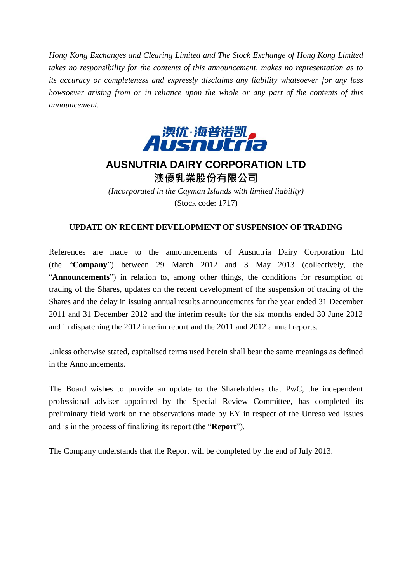*Hong Kong Exchanges and Clearing Limited and The Stock Exchange of Hong Kong Limited takes no responsibility for the contents of this announcement, makes no representation as to its accuracy or completeness and expressly disclaims any liability whatsoever for any loss howsoever arising from or in reliance upon the whole or any part of the contents of this announcement.*



## **AUSNUTRIA DAIRY CORPORATION LTD** 澳優乳業股份有限公司

*(Incorporated in the Cayman Islands with limited liability)* (Stock code: 1717)

## **UPDATE ON RECENT DEVELOPMENT OF SUSPENSION OF TRADING**

References are made to the announcements of Ausnutria Dairy Corporation Ltd (the "**Company**") between 29 March 2012 and 3 May 2013 (collectively, the "**Announcements**") in relation to, among other things, the conditions for resumption of trading of the Shares, updates on the recent development of the suspension of trading of the Shares and the delay in issuing annual results announcements for the year ended 31 December 2011 and 31 December 2012 and the interim results for the six months ended 30 June 2012 and in dispatching the 2012 interim report and the 2011 and 2012 annual reports.

Unless otherwise stated, capitalised terms used herein shall bear the same meanings as defined in the Announcements.

The Board wishes to provide an update to the Shareholders that PwC, the independent professional adviser appointed by the Special Review Committee, has completed its preliminary field work on the observations made by EY in respect of the Unresolved Issues and is in the process of finalizing its report (the "**Report**").

The Company understands that the Report will be completed by the end of July 2013.